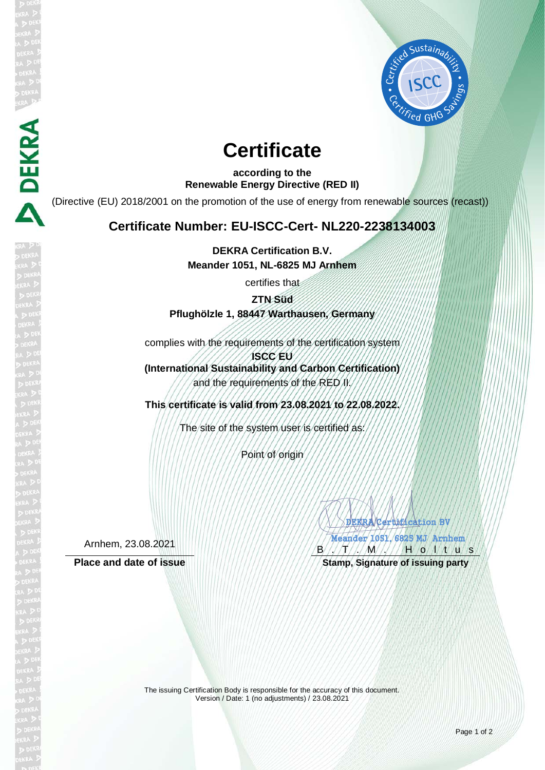

# **Certificate**

**according to the Renewable Energy Directive (RED II)**

(Directive (EU) 2018/2001 on the promotion of the use of energy from renewable sources (recast))

## **Certificate Number: EU-ISCC-Cert- NL220-2238134003**

**DEKRA Certification B.V. Meander 1051, NL-6825 MJ Arnhem**

certifies that

**ZTN Süd**

## **Pflughölzle 1, 88447 Warthausen, Germany**

complies with the requirements of the certification system

**ISCC EU (International Sustainability and Carbon Certification)** and the requirements of the RED II.

**This certificate is valid from 23.08.2021 to 22.08.2022.**

The site of the system user is certified as:

Point of origin

Arnhem, 23.08.2021

**DEKRA** 

DEKRA/Certification BV Meander 1051, 6825 MJ Arnhem RANCA  $B'/\sqrt{T}/\sqrt{M}/\sqrt{H}$  o  $M/V$  u s

Place and date of issue **Stamp, Stamp, Signature of issuing party** 

The issuing Certification Body is responsible for the accuracy of this document. Version / Date: 1 (no adjustments) / 23.08.2021